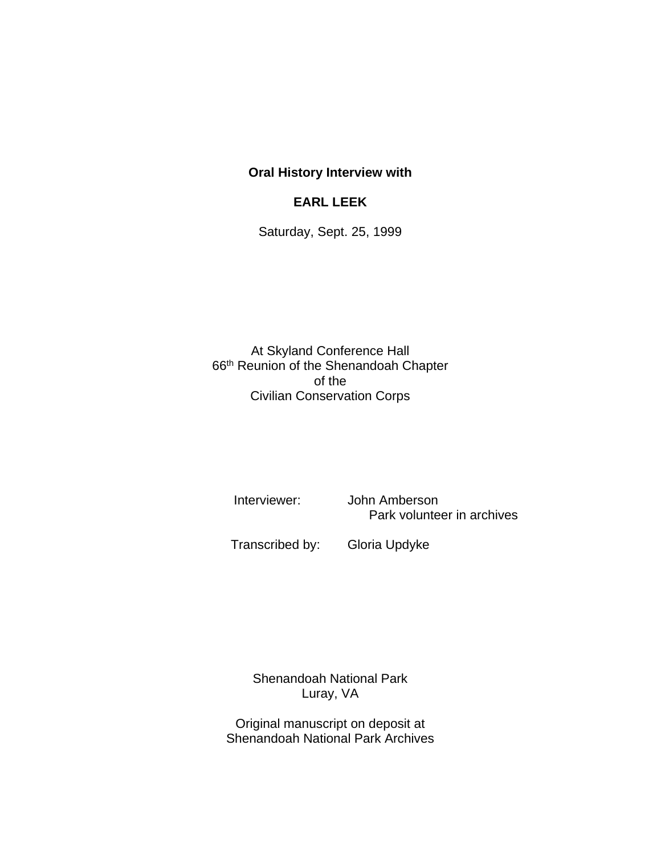## **Oral History Interview with**

## **EARL LEEK**

Saturday, Sept. 25, 1999

At Skyland Conference Hall 66th Reunion of the Shenandoah Chapter of the Civilian Conservation Corps

 Interviewer: John Amberson Park volunteer in archives

Transcribed by: Gloria Updyke

Shenandoah National Park Luray, VA

Original manuscript on deposit at Shenandoah National Park Archives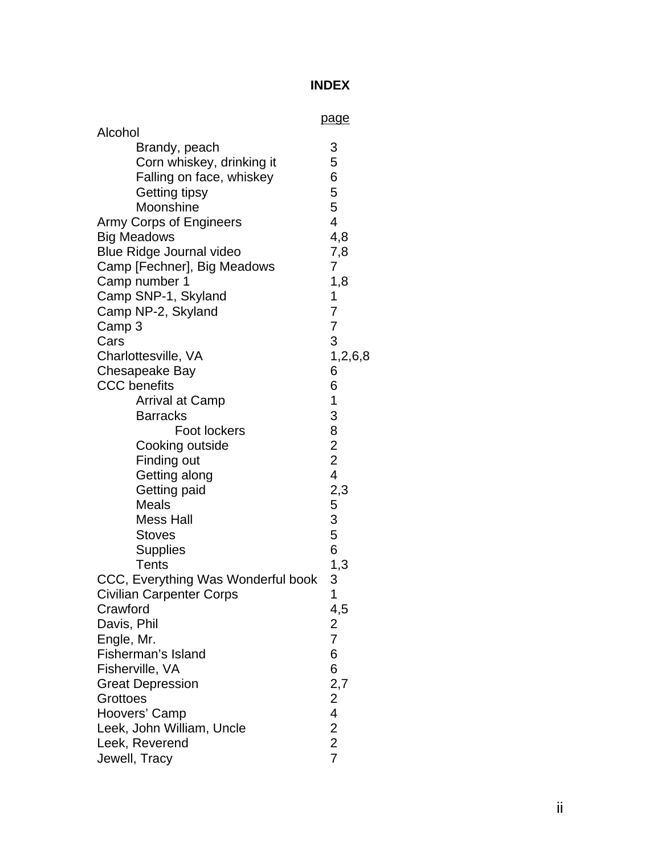## **INDEX**

| Alcohol                                    | <u>page</u>                                |
|--------------------------------------------|--------------------------------------------|
| Brandy, peach<br>Corn whiskey, drinking it | 3<br>5                                     |
| Falling on face, whiskey                   | 6                                          |
| Getting tipsy                              | 5                                          |
| Moonshine                                  | 5                                          |
| Army Corps of Engineers                    | $\overline{4}$                             |
| <b>Big Meadows</b>                         | 4,8                                        |
| <b>Blue Ridge Journal video</b>            | 7,8                                        |
| Camp [Fechner], Big Meadows                | 7                                          |
| Camp number 1                              | 1,8<br>1                                   |
| Camp SNP-1, Skyland<br>Camp NP-2, Skyland  | 7                                          |
| Camp 3                                     | $\overline{7}$                             |
| Cars                                       | 3                                          |
| Charlottesville, VA                        | 1,2,6,8                                    |
| Chesapeake Bay                             | 6                                          |
| <b>CCC</b> benefits                        | 6                                          |
| Arrival at Camp                            | 1                                          |
| <b>Barracks</b>                            | 3                                          |
| <b>Foot lockers</b>                        | $\overline{8}$                             |
| Cooking outside                            |                                            |
| Finding out                                | $\begin{array}{c} 2 \\ 2 \\ 4 \end{array}$ |
| Getting along                              |                                            |
| Getting paid                               | 2,3                                        |
| <b>Meals</b>                               | 5                                          |
| Mess Hall                                  | 3                                          |
| <b>Stoves</b>                              | 5                                          |
| <b>Supplies</b>                            | 6                                          |
| Tents                                      | 1,3                                        |
| CCC, Everything Was Wonderful book         | 3                                          |
| <b>Civilian Carpenter Corps</b>            | 1                                          |
| Crawford                                   | 4,5                                        |
| Davis, Phil                                | 2                                          |
| Engle, Mr.                                 | $\overline{7}$                             |
| Fisherman's Island                         | 6                                          |
| Fisherville, VA                            | 6                                          |
| <b>Great Depression</b>                    | 2,7                                        |
| Grottoes                                   | $\frac{2}{4}$                              |
| Hoovers' Camp<br>Leek, John William, Uncle | $\overline{2}$                             |
| Leek, Reverend                             | $\overline{2}$                             |
| Jewell, Tracy                              | $\overline{7}$                             |
|                                            |                                            |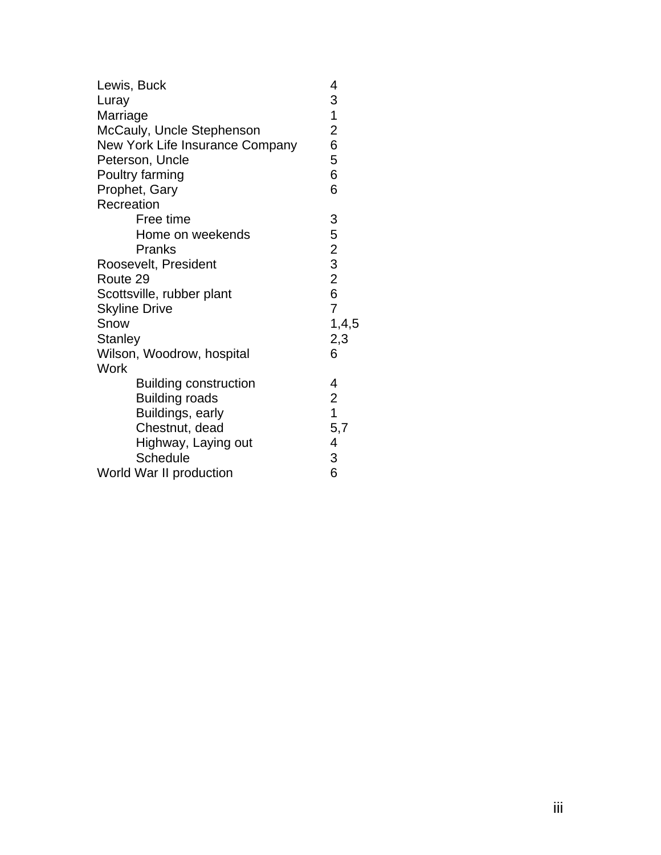| Lewis, Buck                     | 4                                               |
|---------------------------------|-------------------------------------------------|
| Luray                           | 3                                               |
| Marriage                        | $\overline{1}$                                  |
| McCauly, Uncle Stephenson       | $\overline{2}$                                  |
| New York Life Insurance Company | 6                                               |
| Peterson, Uncle                 | 5                                               |
| Poultry farming                 | 6                                               |
| Prophet, Gary                   | 6                                               |
| Recreation                      |                                                 |
| Free time                       | 3                                               |
| Home on weekends                |                                                 |
| Pranks                          |                                                 |
| Roosevelt, President            | $\begin{array}{c} 5 \\ 2 \\ 3 \\ 2 \end{array}$ |
| Route 29                        |                                                 |
| Scottsville, rubber plant       | $\overline{6}$                                  |
| <b>Skyline Drive</b>            | $\overline{7}$                                  |
| Snow                            | 1, 4, 5                                         |
| <b>Stanley</b>                  | 2,3                                             |
| Wilson, Woodrow, hospital       | 6                                               |
| Work                            |                                                 |
| <b>Building construction</b>    | 4                                               |
| <b>Building roads</b>           | $\overline{2}$                                  |
| Buildings, early                | $\overline{1}$                                  |
| Chestnut, dead                  | 5,7                                             |
| Highway, Laying out             | 4                                               |
| <b>Schedule</b>                 | 3                                               |
| World War II production         | 6                                               |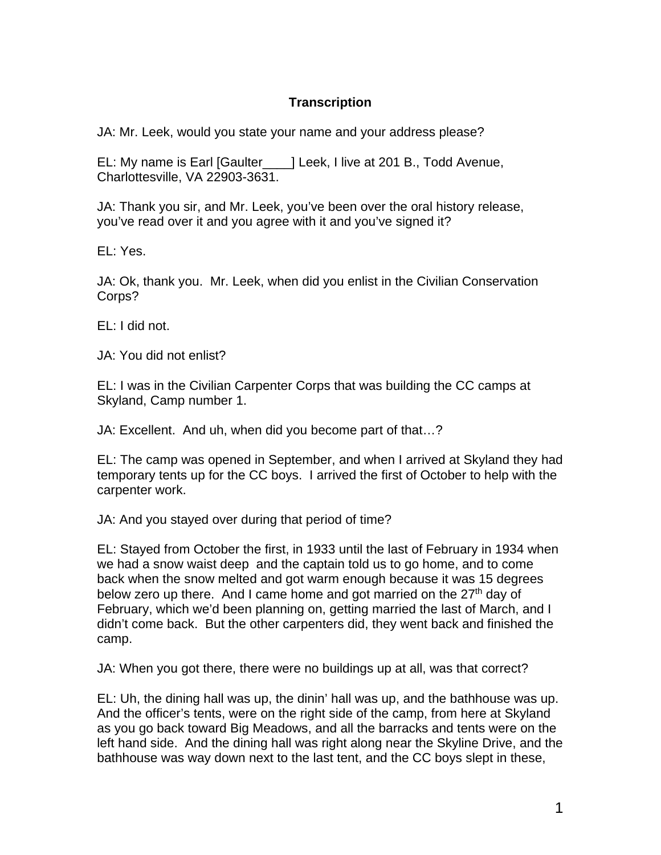## **Transcription**

JA: Mr. Leek, would you state your name and your address please?

EL: My name is Earl [Gaulter\_\_\_\_] Leek, I live at 201 B., Todd Avenue, Charlottesville, VA 22903-3631.

JA: Thank you sir, and Mr. Leek, you've been over the oral history release, you've read over it and you agree with it and you've signed it?

EL: Yes.

JA: Ok, thank you. Mr. Leek, when did you enlist in the Civilian Conservation Corps?

EL: I did not.

JA: You did not enlist?

EL: I was in the Civilian Carpenter Corps that was building the CC camps at Skyland, Camp number 1.

JA: Excellent. And uh, when did you become part of that…?

EL: The camp was opened in September, and when I arrived at Skyland they had temporary tents up for the CC boys. I arrived the first of October to help with the carpenter work.

JA: And you stayed over during that period of time?

EL: Stayed from October the first, in 1933 until the last of February in 1934 when we had a snow waist deep and the captain told us to go home, and to come back when the snow melted and got warm enough because it was 15 degrees below zero up there. And I came home and got married on the 27<sup>th</sup> day of February, which we'd been planning on, getting married the last of March, and I didn't come back. But the other carpenters did, they went back and finished the camp.

JA: When you got there, there were no buildings up at all, was that correct?

EL: Uh, the dining hall was up, the dinin' hall was up, and the bathhouse was up. And the officer's tents, were on the right side of the camp, from here at Skyland as you go back toward Big Meadows, and all the barracks and tents were on the left hand side. And the dining hall was right along near the Skyline Drive, and the bathhouse was way down next to the last tent, and the CC boys slept in these,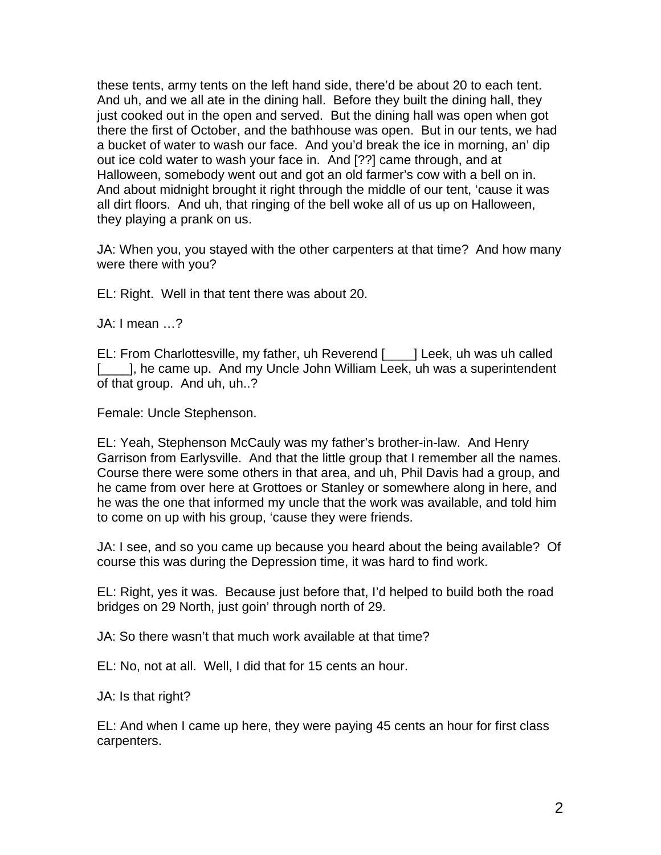these tents, army tents on the left hand side, there'd be about 20 to each tent. And uh, and we all ate in the dining hall. Before they built the dining hall, they just cooked out in the open and served. But the dining hall was open when got there the first of October, and the bathhouse was open. But in our tents, we had a bucket of water to wash our face. And you'd break the ice in morning, an' dip out ice cold water to wash your face in. And [??] came through, and at Halloween, somebody went out and got an old farmer's cow with a bell on in. And about midnight brought it right through the middle of our tent, 'cause it was all dirt floors. And uh, that ringing of the bell woke all of us up on Halloween, they playing a prank on us.

JA: When you, you stayed with the other carpenters at that time? And how many were there with you?

EL: Right. Well in that tent there was about 20.

JA: I mean …?

EL: From Charlottesville, my father, uh Reverend [\_\_\_\_] Leek, uh was uh called [\_\_\_\_], he came up. And my Uncle John William Leek, uh was a superintendent of that group. And uh, uh..?

Female: Uncle Stephenson.

EL: Yeah, Stephenson McCauly was my father's brother-in-law. And Henry Garrison from Earlysville. And that the little group that I remember all the names. Course there were some others in that area, and uh, Phil Davis had a group, and he came from over here at Grottoes or Stanley or somewhere along in here, and he was the one that informed my uncle that the work was available, and told him to come on up with his group, 'cause they were friends.

JA: I see, and so you came up because you heard about the being available? Of course this was during the Depression time, it was hard to find work.

EL: Right, yes it was. Because just before that, I'd helped to build both the road bridges on 29 North, just goin' through north of 29.

JA: So there wasn't that much work available at that time?

EL: No, not at all. Well, I did that for 15 cents an hour.

JA: Is that right?

EL: And when I came up here, they were paying 45 cents an hour for first class carpenters.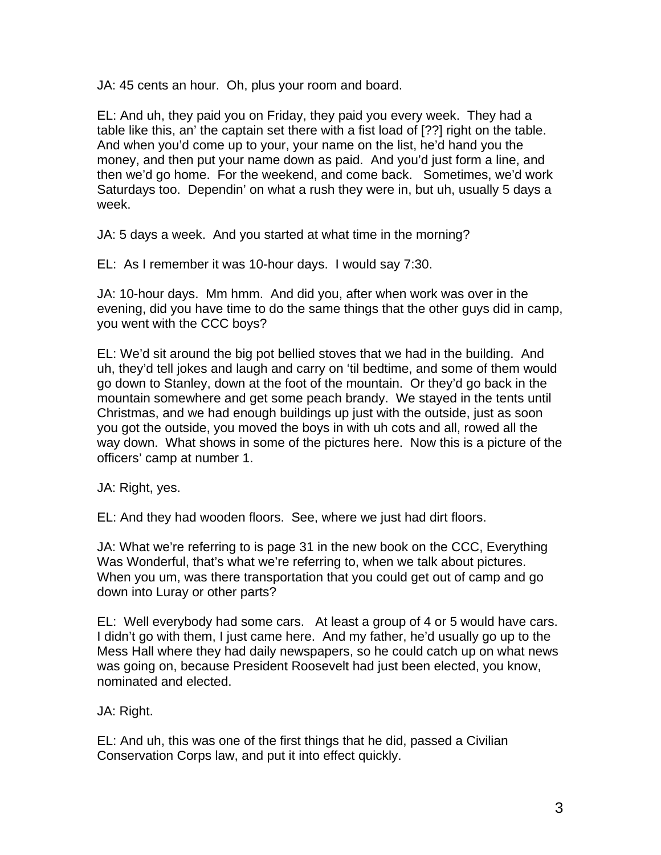JA: 45 cents an hour. Oh, plus your room and board.

EL: And uh, they paid you on Friday, they paid you every week. They had a table like this, an' the captain set there with a fist load of [??] right on the table. And when you'd come up to your, your name on the list, he'd hand you the money, and then put your name down as paid. And you'd just form a line, and then we'd go home. For the weekend, and come back. Sometimes, we'd work Saturdays too. Dependin' on what a rush they were in, but uh, usually 5 days a week.

JA: 5 days a week. And you started at what time in the morning?

EL: As I remember it was 10-hour days. I would say 7:30.

JA: 10-hour days. Mm hmm. And did you, after when work was over in the evening, did you have time to do the same things that the other guys did in camp, you went with the CCC boys?

EL: We'd sit around the big pot bellied stoves that we had in the building. And uh, they'd tell jokes and laugh and carry on 'til bedtime, and some of them would go down to Stanley, down at the foot of the mountain. Or they'd go back in the mountain somewhere and get some peach brandy. We stayed in the tents until Christmas, and we had enough buildings up just with the outside, just as soon you got the outside, you moved the boys in with uh cots and all, rowed all the way down. What shows in some of the pictures here. Now this is a picture of the officers' camp at number 1.

JA: Right, yes.

EL: And they had wooden floors. See, where we just had dirt floors.

JA: What we're referring to is page 31 in the new book on the CCC, Everything Was Wonderful, that's what we're referring to, when we talk about pictures. When you um, was there transportation that you could get out of camp and go down into Luray or other parts?

EL: Well everybody had some cars. At least a group of 4 or 5 would have cars. I didn't go with them, I just came here. And my father, he'd usually go up to the Mess Hall where they had daily newspapers, so he could catch up on what news was going on, because President Roosevelt had just been elected, you know, nominated and elected.

JA: Right.

EL: And uh, this was one of the first things that he did, passed a Civilian Conservation Corps law, and put it into effect quickly.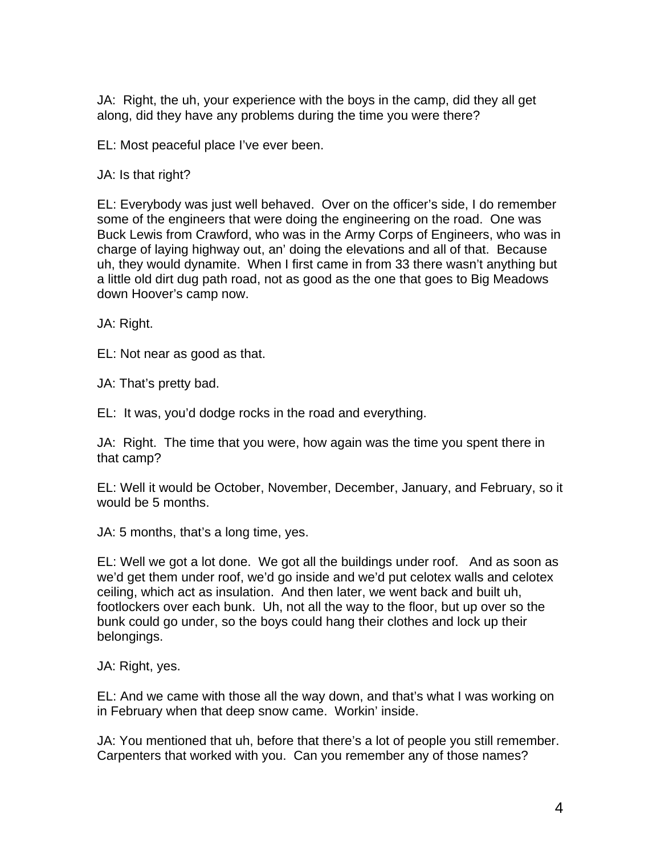JA: Right, the uh, your experience with the boys in the camp, did they all get along, did they have any problems during the time you were there?

EL: Most peaceful place I've ever been.

JA: Is that right?

EL: Everybody was just well behaved. Over on the officer's side, I do remember some of the engineers that were doing the engineering on the road. One was Buck Lewis from Crawford, who was in the Army Corps of Engineers, who was in charge of laying highway out, an' doing the elevations and all of that. Because uh, they would dynamite. When I first came in from 33 there wasn't anything but a little old dirt dug path road, not as good as the one that goes to Big Meadows down Hoover's camp now.

JA: Right.

EL: Not near as good as that.

JA: That's pretty bad.

EL: It was, you'd dodge rocks in the road and everything.

JA: Right. The time that you were, how again was the time you spent there in that camp?

EL: Well it would be October, November, December, January, and February, so it would be 5 months.

JA: 5 months, that's a long time, yes.

EL: Well we got a lot done. We got all the buildings under roof. And as soon as we'd get them under roof, we'd go inside and we'd put celotex walls and celotex ceiling, which act as insulation. And then later, we went back and built uh, footlockers over each bunk. Uh, not all the way to the floor, but up over so the bunk could go under, so the boys could hang their clothes and lock up their belongings.

JA: Right, yes.

EL: And we came with those all the way down, and that's what I was working on in February when that deep snow came. Workin' inside.

JA: You mentioned that uh, before that there's a lot of people you still remember. Carpenters that worked with you. Can you remember any of those names?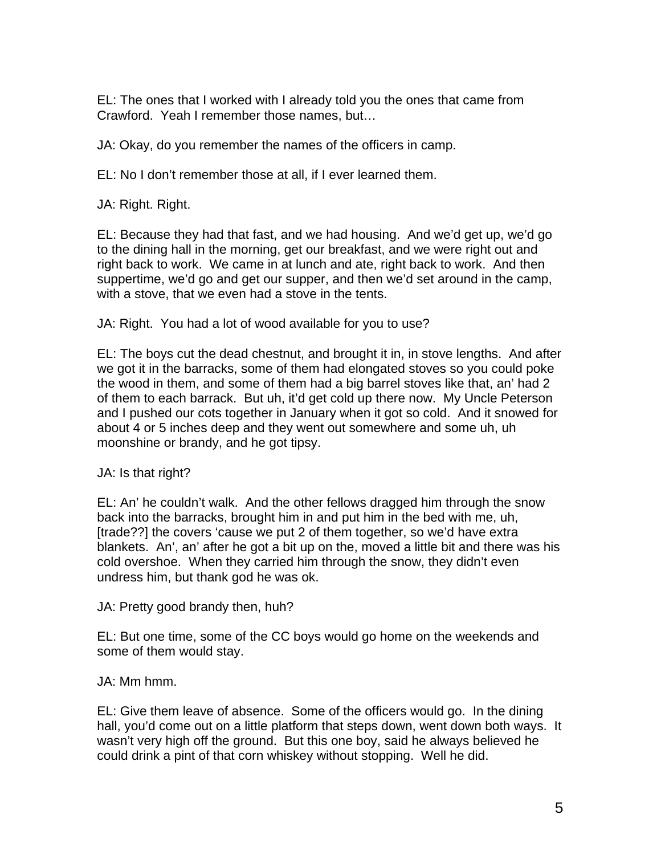EL: The ones that I worked with I already told you the ones that came from Crawford. Yeah I remember those names, but…

JA: Okay, do you remember the names of the officers in camp.

EL: No I don't remember those at all, if I ever learned them.

JA: Right. Right.

EL: Because they had that fast, and we had housing. And we'd get up, we'd go to the dining hall in the morning, get our breakfast, and we were right out and right back to work. We came in at lunch and ate, right back to work. And then suppertime, we'd go and get our supper, and then we'd set around in the camp, with a stove, that we even had a stove in the tents.

JA: Right. You had a lot of wood available for you to use?

EL: The boys cut the dead chestnut, and brought it in, in stove lengths. And after we got it in the barracks, some of them had elongated stoves so you could poke the wood in them, and some of them had a big barrel stoves like that, an' had 2 of them to each barrack. But uh, it'd get cold up there now. My Uncle Peterson and I pushed our cots together in January when it got so cold. And it snowed for about 4 or 5 inches deep and they went out somewhere and some uh, uh moonshine or brandy, and he got tipsy.

JA: Is that right?

EL: An' he couldn't walk. And the other fellows dragged him through the snow back into the barracks, brought him in and put him in the bed with me, uh, [trade??] the covers 'cause we put 2 of them together, so we'd have extra blankets. An', an' after he got a bit up on the, moved a little bit and there was his cold overshoe. When they carried him through the snow, they didn't even undress him, but thank god he was ok.

JA: Pretty good brandy then, huh?

EL: But one time, some of the CC boys would go home on the weekends and some of them would stay.

JA: Mm hmm.

EL: Give them leave of absence. Some of the officers would go. In the dining hall, you'd come out on a little platform that steps down, went down both ways. It wasn't very high off the ground. But this one boy, said he always believed he could drink a pint of that corn whiskey without stopping. Well he did.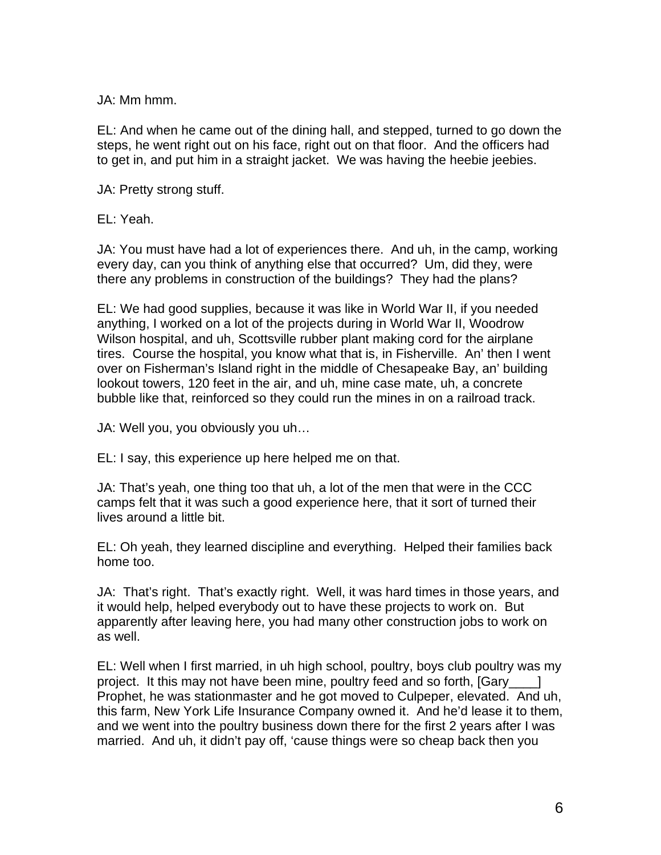JA: Mm hmm.

EL: And when he came out of the dining hall, and stepped, turned to go down the steps, he went right out on his face, right out on that floor. And the officers had to get in, and put him in a straight jacket. We was having the heebie jeebies.

JA: Pretty strong stuff.

EL: Yeah.

JA: You must have had a lot of experiences there. And uh, in the camp, working every day, can you think of anything else that occurred? Um, did they, were there any problems in construction of the buildings? They had the plans?

EL: We had good supplies, because it was like in World War II, if you needed anything, I worked on a lot of the projects during in World War II, Woodrow Wilson hospital, and uh, Scottsville rubber plant making cord for the airplane tires. Course the hospital, you know what that is, in Fisherville. An' then I went over on Fisherman's Island right in the middle of Chesapeake Bay, an' building lookout towers, 120 feet in the air, and uh, mine case mate, uh, a concrete bubble like that, reinforced so they could run the mines in on a railroad track.

JA: Well you, you obviously you uh…

EL: I say, this experience up here helped me on that.

JA: That's yeah, one thing too that uh, a lot of the men that were in the CCC camps felt that it was such a good experience here, that it sort of turned their lives around a little bit.

EL: Oh yeah, they learned discipline and everything. Helped their families back home too.

JA: That's right. That's exactly right. Well, it was hard times in those years, and it would help, helped everybody out to have these projects to work on. But apparently after leaving here, you had many other construction jobs to work on as well.

EL: Well when I first married, in uh high school, poultry, boys club poultry was my project. It this may not have been mine, poultry feed and so forth, [Gary ] Prophet, he was stationmaster and he got moved to Culpeper, elevated. And uh, this farm, New York Life Insurance Company owned it. And he'd lease it to them, and we went into the poultry business down there for the first 2 years after I was married. And uh, it didn't pay off, 'cause things were so cheap back then you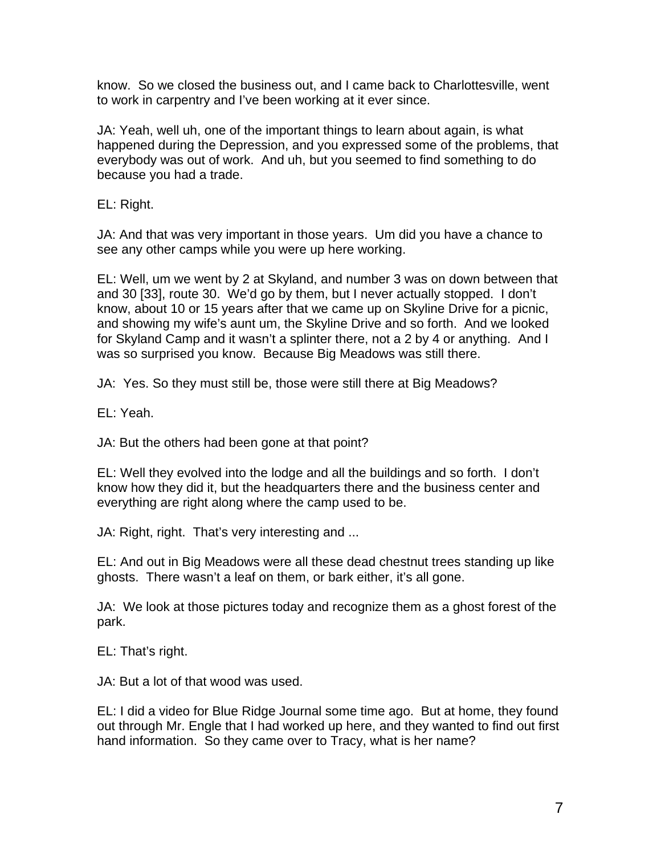know. So we closed the business out, and I came back to Charlottesville, went to work in carpentry and I've been working at it ever since.

JA: Yeah, well uh, one of the important things to learn about again, is what happened during the Depression, and you expressed some of the problems, that everybody was out of work. And uh, but you seemed to find something to do because you had a trade.

EL: Right.

JA: And that was very important in those years. Um did you have a chance to see any other camps while you were up here working.

EL: Well, um we went by 2 at Skyland, and number 3 was on down between that and 30 [33], route 30. We'd go by them, but I never actually stopped. I don't know, about 10 or 15 years after that we came up on Skyline Drive for a picnic, and showing my wife's aunt um, the Skyline Drive and so forth. And we looked for Skyland Camp and it wasn't a splinter there, not a 2 by 4 or anything. And I was so surprised you know. Because Big Meadows was still there.

JA: Yes. So they must still be, those were still there at Big Meadows?

EL: Yeah.

JA: But the others had been gone at that point?

EL: Well they evolved into the lodge and all the buildings and so forth. I don't know how they did it, but the headquarters there and the business center and everything are right along where the camp used to be.

JA: Right, right. That's very interesting and ...

EL: And out in Big Meadows were all these dead chestnut trees standing up like ghosts. There wasn't a leaf on them, or bark either, it's all gone.

JA: We look at those pictures today and recognize them as a ghost forest of the park.

EL: That's right.

JA: But a lot of that wood was used.

EL: I did a video for Blue Ridge Journal some time ago. But at home, they found out through Mr. Engle that I had worked up here, and they wanted to find out first hand information. So they came over to Tracy, what is her name?